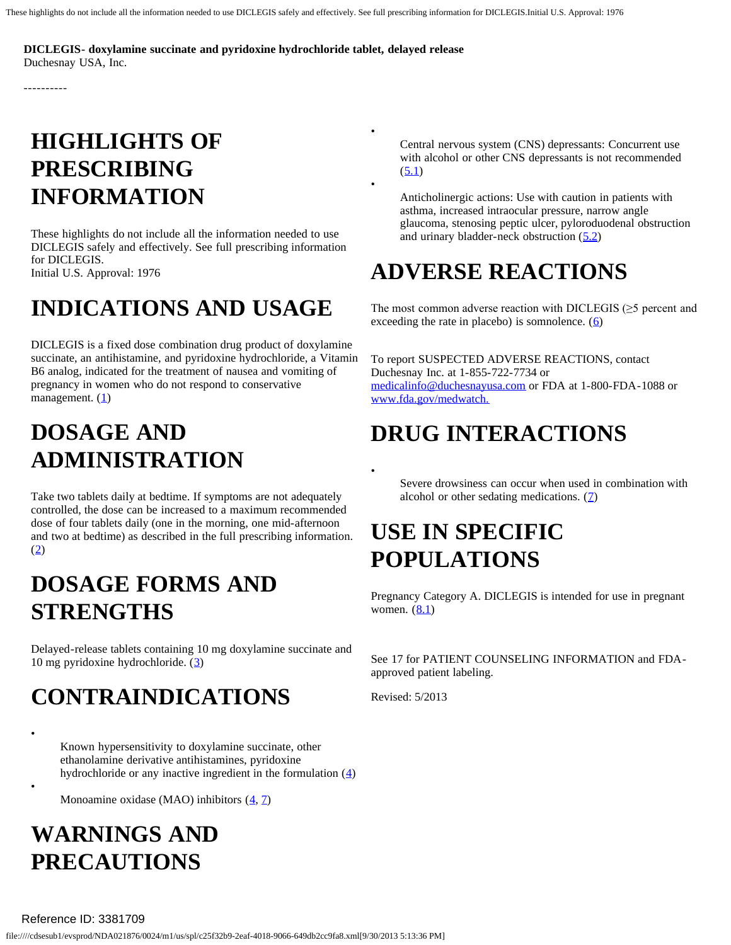•

•

•

**DICLEGIS- doxylamine succinate and pyridoxine hydrochloride tablet, delayed release**  Duchesnay USA, Inc.

----------

# **HIGHLIGHTS OF PRESCRIBING INFORMATION**

These highlights do not include all the information needed to use DICLEGIS safely and effectively. See full prescribing information for DICLEGIS. Initial U.S. Approval: 1976

# **INDICATIONS AND USAGE**

DICLEGIS is a fixed dose combination drug product of doxylamine succinate, an antihistamine, and pyridoxine hydrochloride, a Vitamin B6 analog, indicated for the treatment of nausea and vomiting of pregnancy in women who do not respond to conservative management.  $(1)$  $(1)$ 

# **DOSAGE AND ADMINISTRATION**

Take two tablets daily at bedtime. If symptoms are not adequately controlled, the dose can be increased to a maximum recommended dose of four tablets daily (one in the morning, one mid-afternoon and two at bedtime) as described in the full prescribing information. ([2\)](http://pragmaticdata.com/spl/form/#ID_847a3874-d498-4317-a362-4fcb5bf1fbdc)

## **DOSAGE FORMS AND STRENGTHS**

Delayed-release tablets containing 10 mg doxylamine succinate and 10 mg pyridoxine hydrochloride. ([3\)](http://pragmaticdata.com/spl/form/#ID_c04d7318-020e-4d7d-94a4-92da9f7a9f65)

# **CONTRAINDICATIONS**

Known hypersensitivity to doxylamine succinate, other ethanolamine derivative antihistamines, pyridoxine hydrochloride or any inactive ingredient in the formulation  $(4)$  $(4)$ 

Monoamine oxidase (MAO) inhibitors  $(\underline{4}, \underline{7})$ 

# **WARNINGS AND PRECAUTIONS**

•

•

Central nervous system (CNS) depressants: Concurrent use with alcohol or other CNS depressants is not recommended  $(5.1)$  $(5.1)$  $(5.1)$ 

Anticholinergic actions: Use with caution in patients with asthma, increased intraocular pressure, narrow angle glaucoma, stenosing peptic ulcer, pyloroduodenal obstruction and urinary bladder-neck obstruction  $(5.2)$  $(5.2)$ 

# **ADVERSE REACTIONS**

The most common adverse reaction with DICLEGIS  $(\geq 5$  percent and exceeding the rate in placebo) is somnolence.  $(6)$  $(6)$ 

To report SUSPECTED ADVERSE REACTIONS, contact Duchesnay Inc. at 1-855-722-7734 or [medicalinfo@duchesnayusa.com](http://mailto:medicalinfo@duchesnayusa.com/) or FDA at 1-800-FDA -1088 or [www.fda.gov/medwatch.](http://www.fda.gov/medwatch) 

# **DRUG INTERACTIONS**

Severe drowsiness can occur when used in combination with alcohol or other sedating medications.  $(7)$  $(7)$ 

## **USE IN SPECIFIC POPULATIONS**

Pregnancy Category A. DICLEGIS is intended for use in pregnant women.  $(8.1)$  $(8.1)$  $(8.1)$ 

See 17 for PATIENT COUNSELING INFORMATION and FDA approved patient labeling.

Revised: 5/2013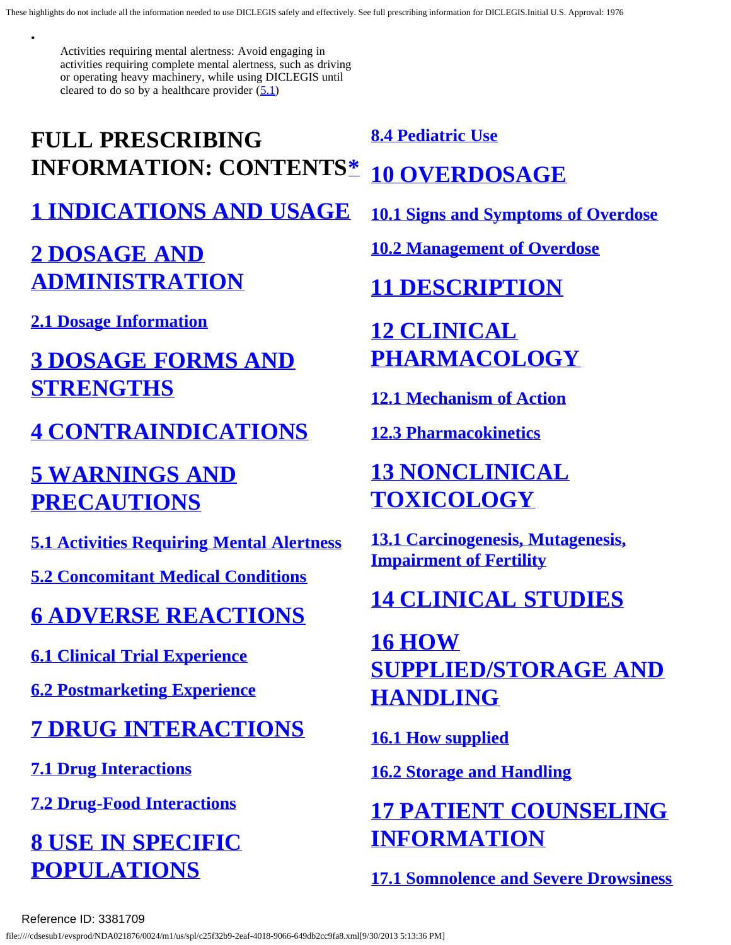Activities requiring mental alertness: Avoid engaging in activities requiring complete mental alertness, such as driving or operating heavy machinery, while using DICLEGIS until cleared to do so by a healthcare provider  $(5.1)$  $(5.1)$  $(5.1)$ 

# <span id="page-1-0"></span>**FULL PRESCRIBING INFORMATION: CONTENTS[\\*](#page-2-2)  [1 INDICATIONS AND USAGE](#page-2-0)**

## **[2 DOSAGE AND](#page-2-3)  [ADMINISTRATION](#page-2-3)**

**[2.1 Dosage Information](#page-2-4)** 

•

## **[3 DOSAGE FORMS AND](#page-2-5)  [STRENGTHS](#page-2-5)**

### **[4 CONTRAINDICATIONS](#page-2-1)**

## **[5 WARNINGS AND](#page-3-2)  [PRECAUTIONS](#page-3-2)**

**[5.1 Activities Requiring Mental Alertness](#page-3-0)** 

**[5.2 Concomitant Medical Conditions](#page-3-1)** 

## **[6 ADVERSE REACTIONS](#page-3-3)**

**[6.1 Clinical Trial Experience](#page-3-4)** 

**[6.2 Postmarketing Experience](#page-3-5)** 

# **[7 DRUG INTERACTIONS](#page-4-0)**

**[7.1 Drug Interactions](#page-4-2)** 

**[7.2 Drug-Food Interactions](#page-4-3)** 

**[8 USE IN SPECIFIC](#page-4-4)  [POPULATIONS](#page-4-4)** 

**[8.4 Pediatric Use](#page-5-0)** 

# **[10 OVERDOSAGE](#page-5-1)**

**[10.1 Signs and Symptoms of Overdose](#page-5-2)** 

**[10.2 Management of Overdose](#page-5-3)** 

# **[11 DESCRIPTION](#page-6-0)**

# **[12 CLINICAL](#page-6-1)  [PHARMACOLOGY](#page-6-1)**

**[12.1 Mechanism of Action](#page-6-2)** 

**[12.3 Pharmacokinetics](#page-7-0)** 

# **[13 NONCLINICAL](#page-9-0)  [TOXICOLOGY](#page-9-0)**

**[13.1 Carcinogenesis, Mutagenesis,](#page-9-1)  [Impairment of Fertility](#page-9-1)** 

# **[14 CLINICAL STUDIES](#page-9-2)**

**[16 HOW](#page-10-0)  [SUPPLIED/STORAGE AND](#page-10-0)  [HANDLING](#page-10-0)** 

**[16.1 How supplied](#page-10-1)** 

**[16.2 Storage and Handling](#page-10-2)** 

# **[17 PATIENT COUNSELING](#page-10-3)  [INFORMATION](#page-10-3)**

**[17.1 Somnolence and Severe Drowsiness](#page-10-4)** 

### Reference ID: 3381709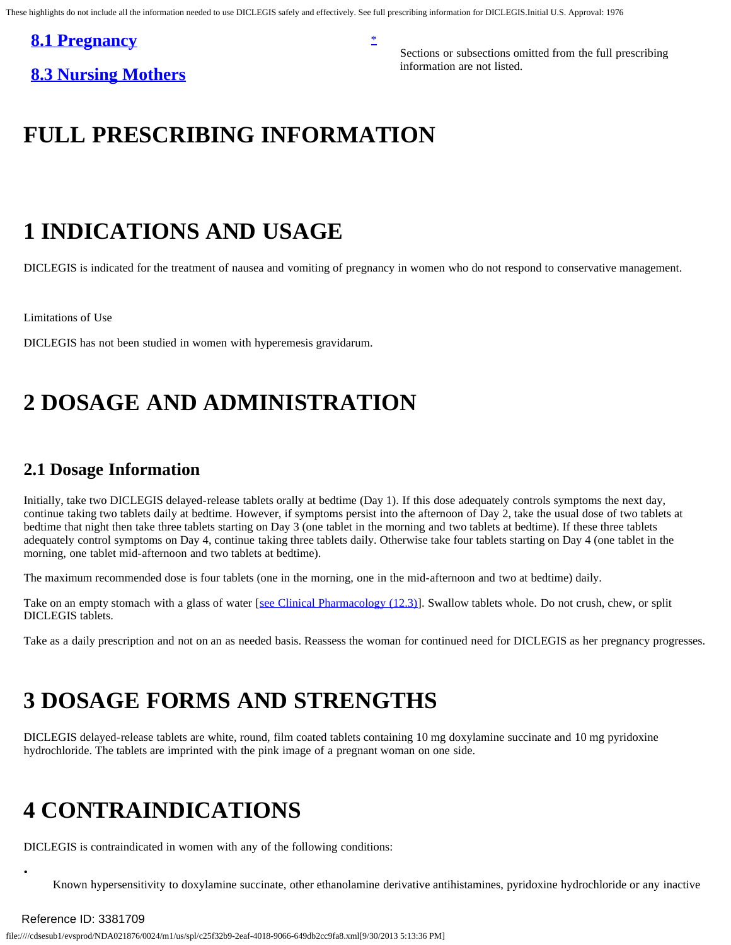### <span id="page-2-2"></span>**[8.1 Pregnancy](#page-4-1)** [\\*](#page-1-0)

information are not listed. **[8.3 Nursing Mothers](#page-5-4)** 

Sections or subsections omitted from the full prescribing

### **FULL PRESCRIBING INFORMATION**

### <span id="page-2-0"></span>**1 INDICATIONS AND USAGE**

DICLEGIS is indicated for the treatment of nausea and vomiting of pregnancy in women who do not respond to conservative management.

Limitations of Use

<span id="page-2-3"></span>DICLEGIS has not been studied in women with hyperemesis gravidarum.

### **2 DOSAGE AND ADMINISTRATION**

### <span id="page-2-4"></span>**2.1 Dosage Information**

Initially, take two DICLEGIS delayed-release tablets orally at bedtime (Day 1). If this dose adequately controls symptoms the next day, continue taking two tablets daily at bedtime. However, if symptoms persist into the afternoon of Day 2, take the usual dose of two tablets at bedtime that night then take three tablets starting on Day 3 (one tablet in the morning and two tablets at bedtime). If these three tablets adequately control symptoms on Day 4, continue taking three tablets daily. Otherwise take four tablets starting on Day 4 (one tablet in the morning, one tablet mid-afternoon and two tablets at bedtime).

The maximum recommended dose is four tablets (one in the morning, one in the mid-afternoon and two at bedtime) daily.

Take on an empty stomach with a glass of water [[see Clinical Pharmacology \(12.3\)\]](http://pragmaticdata.com/spl/form/#ID_f65ab105-2b52-468e-bf9d-fa39566a85be). Swallow tablets whole. Do not crush, chew, or split DICLEGIS tablets.

<span id="page-2-5"></span>Take as a daily prescription and not on an as needed basis. Reassess the woman for continued need for DICLEGIS as her pregnancy progresses.

### **3 DOSAGE FORMS AND STRENGTHS**

DICLEGIS delayed-release tablets are white, round, film coated tablets containing 10 mg doxylamine succinate and 10 mg pyridoxine hydrochloride. The tablets are imprinted with the pink image of a pregnant woman on one side.

### <span id="page-2-1"></span>**4 CONTRAINDICATIONS**

DICLEGIS is contraindicated in women with any of the following conditions:

Known hypersensitivity to doxylamine succinate, other ethanolamine derivative antihistamines, pyridoxine hydrochloride or any inactive

### Reference ID: 3381709

•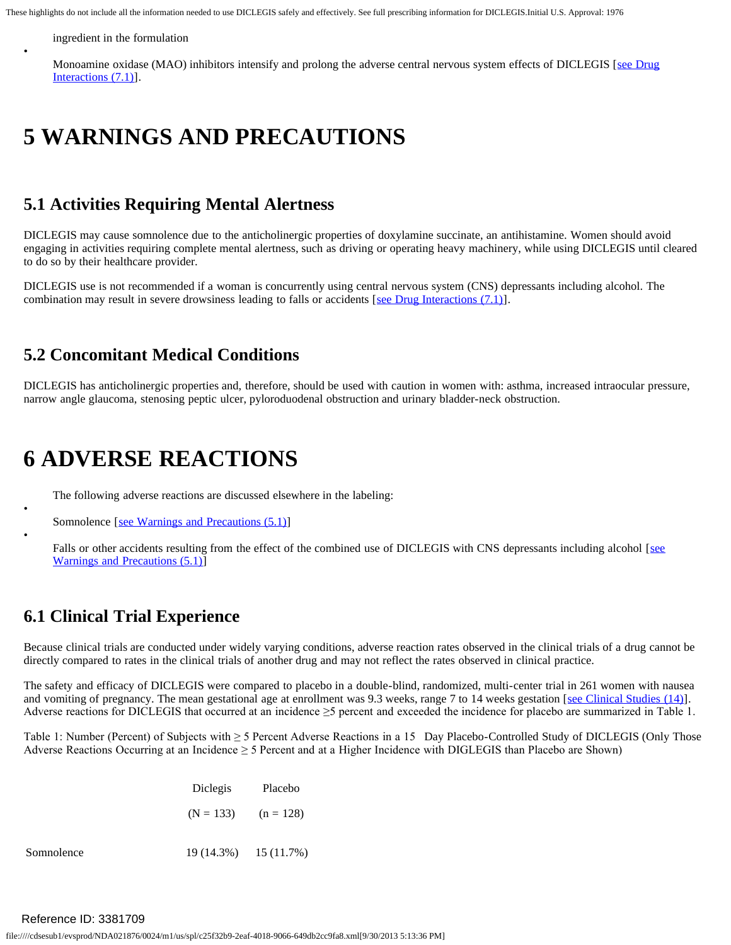ingredient in the formulation

•

•

•

Monoamine oxidase (MAO) inhibitors intensify and prolong the adverse central nervous system effects of DICLEGIS [see Drug [Interactions \(7.1\)](#page-4-2)].

### <span id="page-3-2"></span>**5 WARNINGS AND PRECAUTIONS**

### <span id="page-3-0"></span>**5.1 Activities Requiring Mental Alertness**

DICLEGIS may cause somnolence due to the anticholinergic properties of doxylamine succinate, an antihistamine. Women should avoid engaging in activities requiring complete mental alertness, such as driving or operating heavy machinery, while using DICLEGIS until cleared to do so by their healthcare provider.

DICLEGIS use is not recommended if a woman is concurrently using central nervous system (CNS) depressants including alcohol. The combination may result in severe drowsiness leading to falls or accidents [[see Drug Interactions \(7.1\)\]](http://pragmaticdata.com/spl/form/#ID_03c00ccb-6f2f-4a62-849e-0530fb496a0e).

### <span id="page-3-1"></span>**5.2 Concomitant Medical Conditions**

DICLEGIS has anticholinergic properties and, therefore, should be used with caution in women with: asthma, increased intraocular pressure, narrow angle glaucoma, stenosing peptic ulcer, pyloroduodenal obstruction and urinary bladder-neck obstruction.

### <span id="page-3-3"></span>**6 ADVERSE REACTIONS**

The following adverse reactions are discussed elsewhere in the labeling:

Somnolence [\[see Warnings and Precautions \(5.1\)](#page-3-0)]

Falls or other accidents resulting from the effect of the combined use of DICLEGIS with CNS depressants including alcohol [see [Warnings and Precautions \(5.1\)\]](#page-3-0)

### <span id="page-3-4"></span>**6.1 Clinical Trial Experience**

Because clinical trials are conducted under widely varying conditions, adverse reaction rates observed in the clinical trials of a drug cannot be directly compared to rates in the clinical trials of another drug and may not reflect the rates observed in clinical practice.

The safety and efficacy of DICLEGIS were compared to placebo in a double-blind, randomized, multi-center trial in 261 women with nausea and vomiting of pregnancy. The mean gestational age at enrollment was 9.3 weeks, range 7 to 14 weeks gestation [[see Clinical Studies \(14\)\]](http://pragmaticdata.com/spl/form/#ID_d840b353-1a31-413e-8213-bd999d6e6624). Adverse reactions for DICLEGIS that occurred at an incidence  $\geq$ 5 percent and exceeded the incidence for placebo are summarized in Table 1.

Table 1: Number (Percent) of Subjects with ≥ 5 Percent Adverse Reactions in a 15 Day Placebo-Controlled Study of DICLEGIS (Only Those Adverse Reactions Occurring at an Incidence  $\geq$  5 Percent and at a Higher Incidence with DIGLEGIS than Placebo are Shown)

|            | Diclegis                | Placebo                   |
|------------|-------------------------|---------------------------|
|            | $(N = 133)$ $(n = 128)$ |                           |
| Somnolence |                         | $19(14.3\%)$ $15(11.7\%)$ |

<span id="page-3-5"></span>Reference ID: 3381709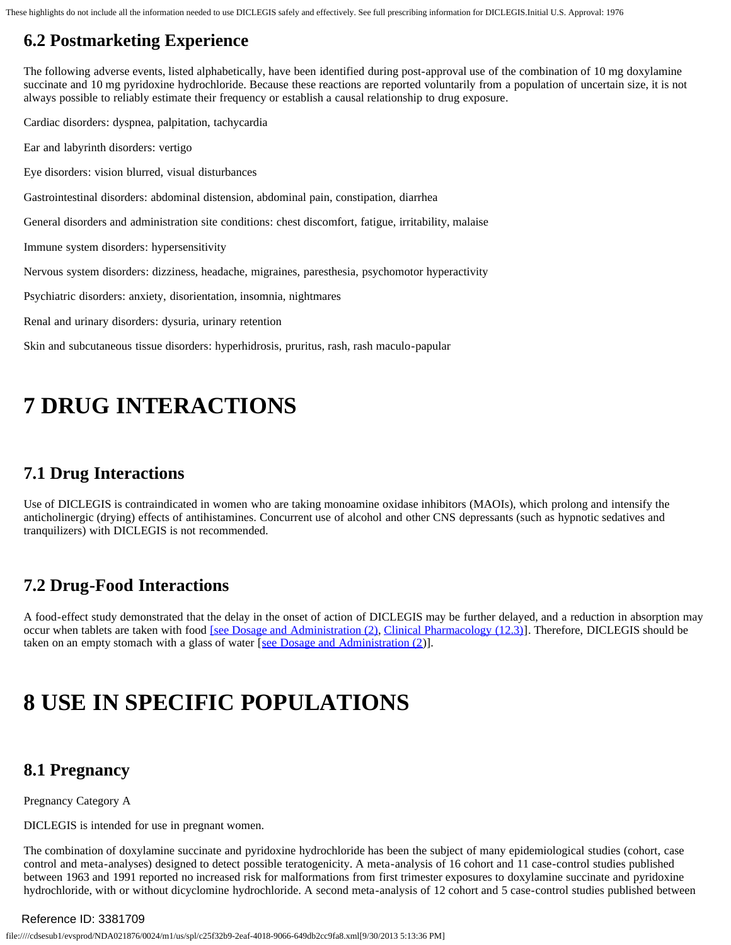### **6.2 Postmarketing Experience**

The following adverse events, listed alphabetically, have been identified during post-approval use of the combination of 10 mg doxylamine succinate and 10 mg pyridoxine hydrochloride. Because these reactions are reported voluntarily from a population of uncertain size, it is not always possible to reliably estimate their frequency or establish a causal relationship to drug exposure.

Cardiac disorders: dyspnea, palpitation, tachycardia

Ear and labyrinth disorders: vertigo

Eye disorders: vision blurred, visual disturbances

Gastrointestinal disorders: abdominal distension, abdominal pain, constipation, diarrhea

General disorders and administration site conditions: chest discomfort, fatigue, irritability, malaise

Immune system disorders: hypersensitivity

Nervous system disorders: dizziness, headache, migraines, paresthesia, psychomotor hyperactivity

Psychiatric disorders: anxiety, disorientation, insomnia, nightmares

Renal and urinary disorders: dysuria, urinary retention

<span id="page-4-0"></span>Skin and subcutaneous tissue disorders: hyperhidrosis, pruritus, rash, rash maculo-papular

### **7 DRUG INTERACTIONS**

### <span id="page-4-2"></span>**7.1 Drug Interactions**

Use of DICLEGIS is contraindicated in women who are taking monoamine oxidase inhibitors (MAOIs), which prolong and intensify the anticholinergic (drying) effects of antihistamines. Concurrent use of alcohol and other CNS depressants (such as hypnotic sedatives and tranquilizers) with DICLEGIS is not recommended.

### <span id="page-4-3"></span>**7.2 Drug-Food Interactions**

A food-effect study demonstrated that the delay in the onset of action of DICLEGIS may be further delayed, and a reduction in absorption may occur when tablets are taken with food [\[see Dosage and Administration \(2\),](http://pragmaticdata.com/spl/form/#ID_847a3874-d498-4317-a362-4fcb5bf1fbdc) [Clinical Pharmacology \(12.3\)\]](http://pragmaticdata.com/spl/form/#ID_f65ab105-2b52-468e-bf9d-fa39566a85be). Therefore, DICLEGIS should be taken on an empty stomach with a glass of water [[see Dosage and Administration \(2\)](http://pragmaticdata.com/spl/form/#ID_847a3874-d498-4317-a362-4fcb5bf1fbdc)].

# <span id="page-4-4"></span>**8 USE IN SPECIFIC POPULATIONS**

### <span id="page-4-1"></span>**8.1 Pregnancy**

Pregnancy Category A

DICLEGIS is intended for use in pregnant women.

The combination of doxylamine succinate and pyridoxine hydrochloride has been the subject of many epidemiological studies (cohort, case control and meta -analyses) designed to detect possible teratogenicity. A meta-analysis of 16 cohort and 11 case-control studies published between 1963 and 1991 reported no increased risk for malformations from first trimester exposures to doxylamine succinate and pyridoxine hydrochloride, with or without dicyclomine hydrochloride. A second meta-analysis of 12 cohort and 5 case-control studies published between

### Reference ID: 3381709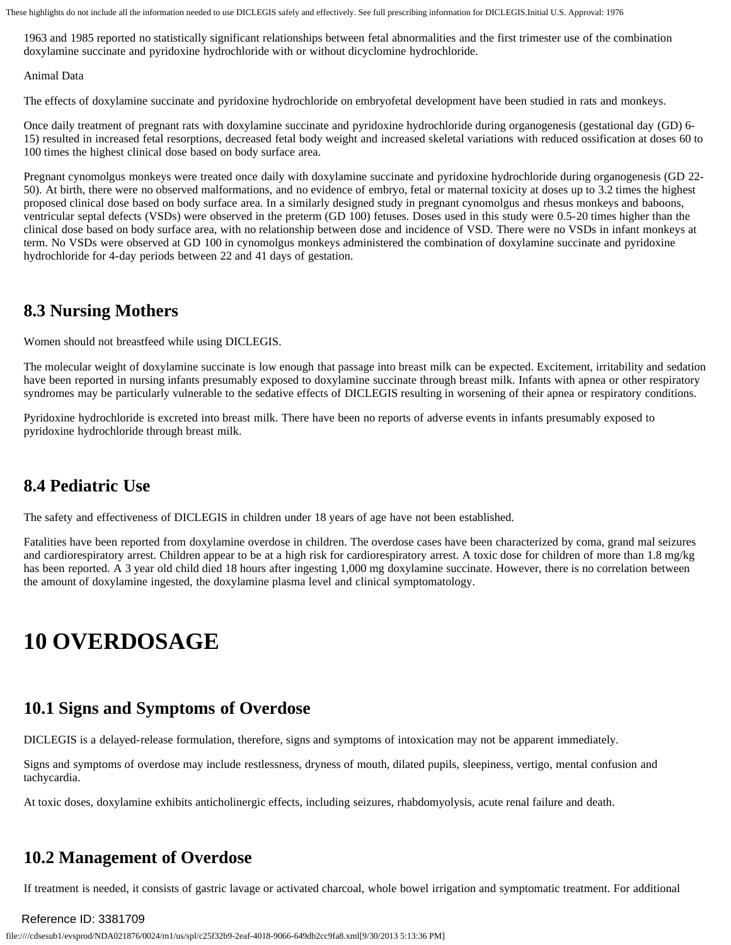1963 and 1985 reported no statistically significant relationships between fetal abnormalities and the first trimester use of the combination doxylamine succinate and pyridoxine hydrochloride with or without dicyclomine hydrochloride.

Animal Data

The effects of doxylamine succinate and pyridoxine hydrochloride on embryofetal development have been studied in rats and monkeys.

Once daily treatment of pregnant rats with doxylamine succinate and pyridoxine hydrochloride during organogenesis (gestational day (GD) 6 15) resulted in increased fetal resorptions, decreased fetal body weight and increased skeletal variations with reduced ossification at doses 60 to 100 times the highest clinical dose based on body surface area.

Pregnant cynomolgus monkeys were treated once daily with doxylamine succinate and pyridoxine hydrochloride during organogenesis (GD 22 50). At birth, there were no observed malformations, and no evidence of embryo, fetal or maternal toxicity at doses up to 3.2 times the highest proposed clinical dose based on body surface area. In a similarly designed study in pregnant cynomolgus and rhesus monkeys and baboons, ventricular septal defects (VSDs) were observed in the preterm (GD 100) fetuses. Doses used in this study were 0.5-20 times higher than the clinical dose based on body surface area, with no relationship between dose and incidence of VSD. There were no VSDs in infant monkeys at term. No VSDs were observed at GD 100 in cynomolgus monkeys administered the combination of doxylamine succinate and pyridoxine hydrochloride for 4-day periods between 22 and 41 days of gestation.

### <span id="page-5-4"></span>**8.3 Nursing Mothers**

Women should not breastfeed while using DICLEGIS.

The molecular weight of doxylamine succinate is low enough that passage into breast milk can be expected. Excitement, irritability and sedation have been reported in nursing infants presumably exposed to doxylamine succinate through breast milk. Infants with apnea or other respiratory syndromes may be particularly vulnerable to the sedative effects of DICLEGIS resulting in worsening of their apnea or respiratory conditions.

Pyridoxine hydrochloride is excreted into breast milk. There have been no reports of adverse events in infants presumably exposed to pyridoxine hydrochloride through breast milk.

### <span id="page-5-0"></span>**8.4 Pediatric Use**

The safety and effectiveness of DICLEGIS in children under 18 years of age have not been established.

 has been reported. A 3 year old child died 18 hours after ingesting 1,000 mg doxylamine succinate. However, there is no correlation between Fatalities have been reported from doxylamine overdose in children. The overdose cases have been characterized by coma, grand mal seizures and cardiorespiratory arrest. Children appear to be at a high risk for cardiorespiratory arrest. A toxic dose for children of more than 1.8 mg/kg the amount of doxylamine ingested, the doxylamine plasma level and clinical symptomatology.

### <span id="page-5-1"></span>**10 OVERDOSAGE**

### <span id="page-5-2"></span>**10.1 Signs and Symptoms of Overdose**

DICLEGIS is a delayed-release formulation, therefore, signs and symptoms of intoxication may not be apparent immediately.

Signs and symptoms of overdose may include restlessness, dryness of mouth, dilated pupils, sleepiness, vertigo, mental confusion and tachycardia.

<span id="page-5-3"></span>At toxic doses, doxylamine exhibits anticholinergic effects, including seizures, rhabdomyolysis, acute renal failure and death.

### **10.2 Management of Overdose**

If treatment is needed, it consists of gastric lavage or activated charcoal, whole bowel irrigation and symptomatic treatment. For additional

### Reference ID: 3381709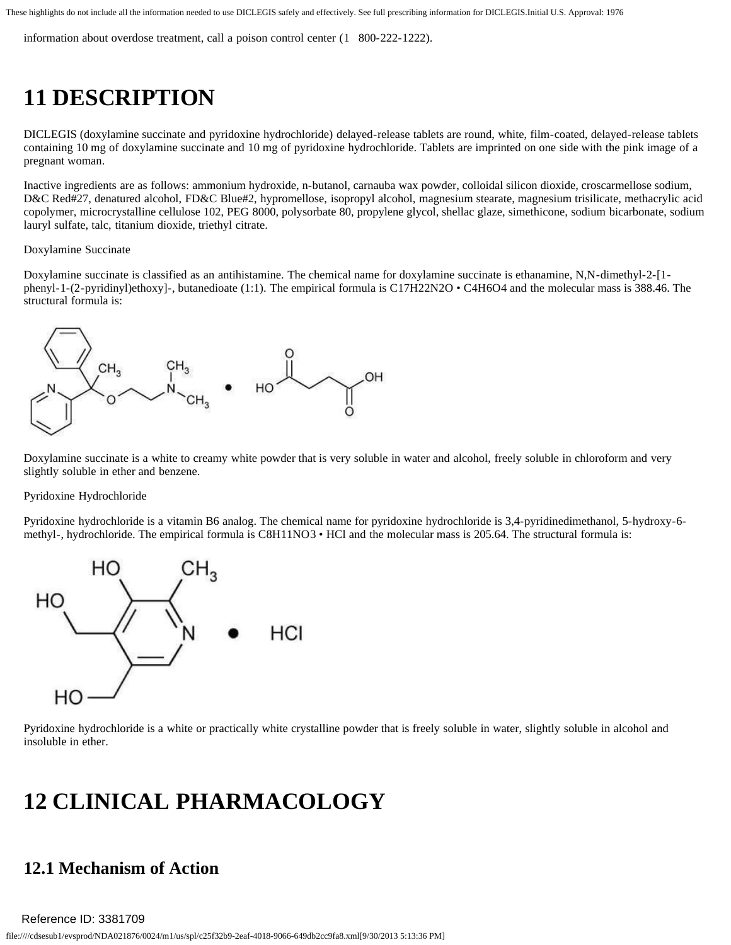<span id="page-6-0"></span>information about overdose treatment, call a poison control center (1 800-222-1222).

## **11 DESCRIPTION**

DICLEGIS (doxylamine succinate and pyridoxine hydrochloride) delayed-release tablets are round, white, film-coated, delayed-release tablets containing 10 mg of doxylamine succinate and 10 mg of pyridoxine hydrochloride. Tablets are imprinted on one side with the pink image of a pregnant woman.

Inactive ingredients are as follows: ammonium hydroxide, n-butanol, carnauba wax powder, colloidal silicon dioxide, croscarmellose sodium, D&C Red#27, denatured alcohol, FD&C Blue#2, hypromellose, isopropyl alcohol, magnesium stearate, magnesium trisilicate, methacrylic acid copolymer, microcrystalline cellulose 102, PEG 8000, polysorbate 80, propylene glycol, shellac glaze, simethicone, sodium bicarbonate, sodium lauryl sulfate, talc, titanium dioxide, triethyl citrate.

#### Doxylamine Succinate

Doxylamine succinate is classified as an antihistamine. The chemical name for doxylamine succinate is ethanamine, N,N-dimethyl-2-[1phenyl-1-(2-pyridinyl)ethoxy]-, butanedioate (1:1). The empirical formula is C17H22N2O • C4H6O4 and the molecular mass is 388.46. The structural formula is:



Doxylamine succinate is a white to creamy white powder that is very soluble in water and alcohol, freely soluble in chloroform and very slightly soluble in ether and benzene.

#### Pyridoxine Hydrochloride

Pyridoxine hydrochloride is a vitamin B6 analog. The chemical name for pyridoxine hydrochloride is 3,4-pyridinedimethanol, 5-hydroxy-6 methyl-, hydrochloride. The empirical formula is C8H11NO3 • HCl and the molecular mass is 205.64. The structural formula is:



Pyridoxine hydrochloride is a white or practically white crystalline powder that is freely soluble in water, slightly soluble in alcohol and insoluble in ether.

### <span id="page-6-1"></span>**12 CLINICAL PHARMACOLOGY**

### <span id="page-6-2"></span>**12.1 Mechanism of Action**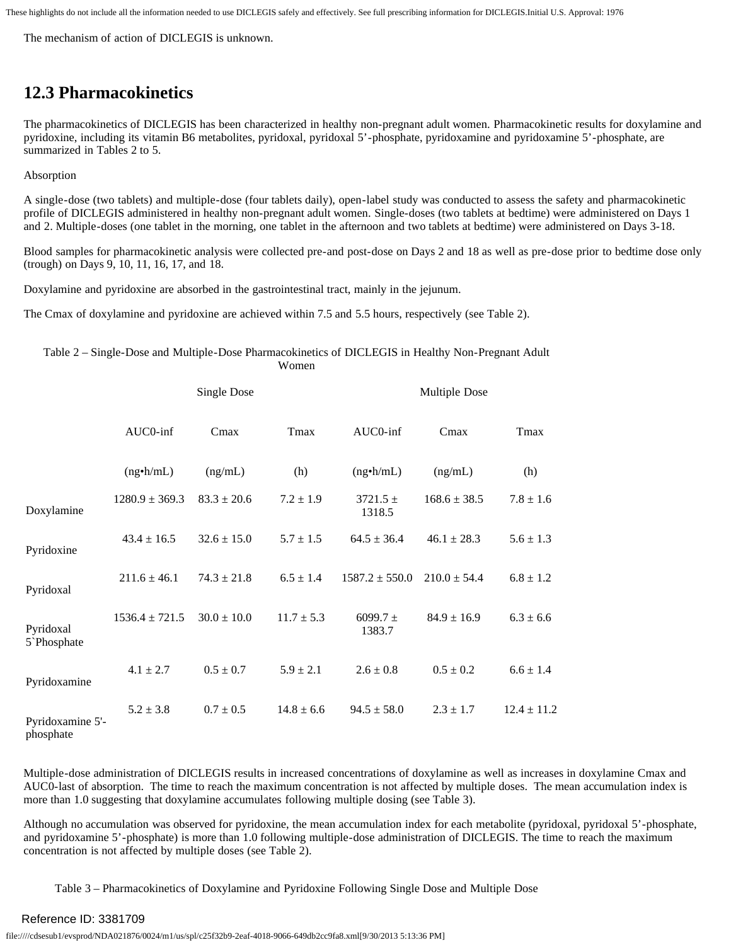<span id="page-7-0"></span>The mechanism of action of DICLEGIS is unknown.

### **12.3 Pharmacokinetics**

The pharmacokinetics of DICLEGIS has been characterized in healthy non-pregnant adult women. Pharmacokinetic results for doxylamine and pyridoxine, including its vitamin B6 metabolites, pyridoxal, pyridoxal 5'-phosphate, pyridoxamine and pyridoxamine 5'-phosphate, are summarized in Tables 2 to 5.

Absorption

A single-dose (two tablets) and multiple-dose (four tablets daily), open-label study was conducted to assess the safety and pharmacokinetic profile of DICLEGIS administered in healthy non-pregnant adult women. Single-doses (two tablets at bedtime) were administered on Days 1 and 2. Multiple-doses (one tablet in the morning, one tablet in the afternoon and two tablets at bedtime) were administered on Days 3-18.

Blood samples for pharmacokinetic analysis were collected pre-and post-dose on Days 2 and 18 as well as pre-dose prior to bedtime dose only (trough) on Days 9, 10, 11, 16, 17, and 18.

Doxylamine and pyridoxine are absorbed in the gastrointestinal tract, mainly in the jejunum.

The Cmax of doxylamine and pyridoxine are achieved within 7.5 and 5.5 hours, respectively (see Table 2).

Table 2 – Single-Dose and Multiple-Dose Pharmacokinetics of DICLEGIS in Healthy Non-Pregnant Adult Women

|                                       | <b>Single Dose</b>          |                 | Multiple Dose  |                        |                  |                 |  |
|---------------------------------------|-----------------------------|-----------------|----------------|------------------------|------------------|-----------------|--|
|                                       | AUC0-inf<br>Tmax<br>$C$ max |                 |                | AUC0-inf<br>Cmax       |                  | Tmax            |  |
|                                       | $(ng\cdot h/mL)$            | (ng/mL)         | (h)            | $(ng\cdot h/mL)$       | (ng/mL)          | (h)             |  |
| Doxylamine                            | $1280.9 \pm 369.3$          | $83.3 \pm 20.6$ | $7.2 \pm 1.9$  | $3721.5 \pm$<br>1318.5 | $168.6 \pm 38.5$ | $7.8 \pm 1.6$   |  |
| Pyridoxine                            | $43.4 \pm 16.5$             | $32.6 \pm 15.0$ | $5.7 \pm 1.5$  | $64.5 \pm 36.4$        | $46.1 \pm 28.3$  | $5.6 \pm 1.3$   |  |
| Pyridoxal                             | $211.6 \pm 46.1$            | $74.3 \pm 21.8$ | $6.5 \pm 1.4$  | $1587.2 \pm 550.0$     | $210.0 \pm 54.4$ | $6.8 \pm 1.2$   |  |
| Pyridoxal<br>5 <sup>b</sup> Phosphate | $1536.4 \pm 721.5$          | $30.0 \pm 10.0$ | $11.7 \pm 5.3$ | $6099.7 \pm$<br>1383.7 | $84.9 \pm 16.9$  | $6.3 \pm 6.6$   |  |
| Pyridoxamine                          | $4.1 \pm 2.7$               | $0.5 \pm 0.7$   | $5.9 \pm 2.1$  | $2.6 \pm 0.8$          | $0.5 \pm 0.2$    | $6.6 \pm 1.4$   |  |
| Pyridoxamine 5'-<br>phosphate         | $5.2 \pm 3.8$               | $0.7 \pm 0.5$   | $14.8 \pm 6.6$ | $94.5 \pm 58.0$        | $2.3 \pm 1.7$    | $12.4 \pm 11.2$ |  |

Multiple-dose administration of DICLEGIS results in increased concentrations of doxylamine as well as increases in doxylamine Cmax and AUC0-last of absorption. The time to reach the maximum concentration is not affected by multiple doses. The mean accumulation index is more than 1.0 suggesting that doxylamine accumulates following multiple dosing (see Table 3).

Although no accumulation was observed for pyridoxine, the mean accumulation index for each metabolite (pyridoxal, pyridoxal 5'-phosphate, and pyridoxamine 5'-phosphate) is more than 1.0 following multiple-dose administration of DICLEGIS. The time to reach the maximum concentration is not affected by multiple doses (see Table 2).

Table 3 – Pharmacokinetics of Doxylamine and Pyridoxine Following Single Dose and Multiple Dose

### Reference ID: 3381709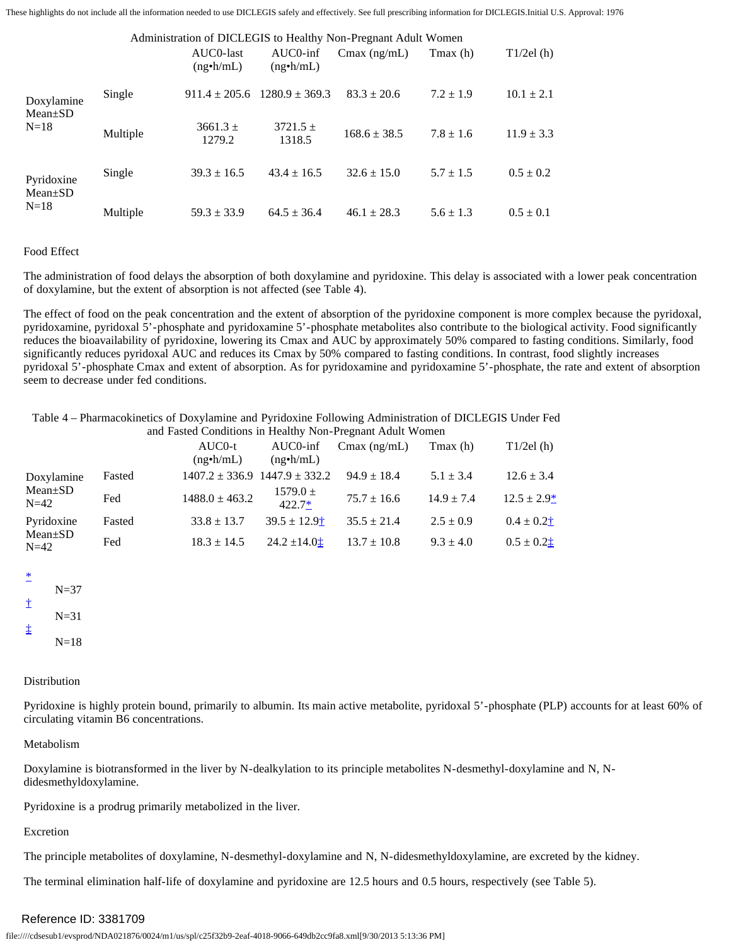|                             |          | AUC0-last<br>$(ng\cdot h/mL)$ | $AUCO$ -inf<br>$(ng\cdot h/mL)$ | Administration of DICLEGIS to Healthy Non-Pregnant Adult Women<br>$C$ max (ng/mL) | Tmax (h)      | T1/2el(h)      |
|-----------------------------|----------|-------------------------------|---------------------------------|-----------------------------------------------------------------------------------|---------------|----------------|
| Doxylamine<br>$Mean \pm SD$ | Single   | $911.4 \pm 205.6$             | $1280.9 + 369.3$                | $83.3 \pm 20.6$                                                                   | $7.2 \pm 1.9$ | $10.1 \pm 2.1$ |
| $N=18$<br>Multiple          |          | $3661.3 +$<br>1279.2          | $3721.5 \pm$<br>1318.5          | $168.6 \pm 38.5$                                                                  | $7.8 \pm 1.6$ | $11.9 \pm 3.3$ |
| Pyridoxine<br>$Mean \pm SD$ | Single   | $39.3 \pm 16.5$               | $43.4 \pm 16.5$                 | $32.6 \pm 15.0$                                                                   | $5.7 \pm 1.5$ | $0.5 \pm 0.2$  |
| $N=18$                      | Multiple | $59.3 \pm 33.9$               | $64.5 \pm 36.4$                 | $46.1 \pm 28.3$                                                                   | $5.6 \pm 1.3$ | $0.5 \pm 0.1$  |

#### Food Effect

The administration of food delays the absorption of both doxylamine and pyridoxine. This delay is associated with a lower peak concentration of doxylamine, but the extent of absorption is not affected (see Table 4).

The effect of food on the peak concentration and the extent of absorption of the pyridoxine component is more complex because the pyridoxal, pyridoxamine, pyridoxal 5'-phosphate and pyridoxamine 5'-phosphate metabolites also contribute to the biological activity. Food significantly reduces the bioavailability of pyridoxine, lowering its Cmax and AUC by approximately 50% compared to fasting conditions. Similarly, food significantly reduces pyridoxal AUC and reduces its Cmax by 50% compared to fasting conditions. In contrast, food slightly increases pyridoxal 5'-phosphate Cmax and extent of absorption. As for pyridoxamine and pyridoxamine 5'-phosphate, the rate and extent of absorption seem to decrease under fed conditions.

Table 4 – Pharmacokinetics of Doxylamine and Pyridoxine Following Administration of DICLEGIS Under Fed and Fasted Conditions in Healthy Non-Pregnant Adult Women

<span id="page-8-0"></span>

|                         |        | $AUCO-t$<br>$(ng\cdot h/mL)$ | $AUCO$ -inf<br>$(ng\cdot h/mL)$       | $C$ max (ng/mL) | $T$ max $(h)$  | T1/2el(h)       |
|-------------------------|--------|------------------------------|---------------------------------------|-----------------|----------------|-----------------|
| Doxylamine              | Fasted |                              | $1407.2 \pm 336.9$ $1447.9 \pm 332.2$ | $94.9 \pm 18.4$ | $5.1 \pm 3.4$  | $12.6 \pm 3.4$  |
| $Mean \pm SD$<br>$N=42$ | Fed    | $1488.0 \pm 463.2$           | $1579.0 \pm$<br>$422.7*$              | $75.7 \pm 16.6$ | $14.9 \pm 7.4$ | $12.5 \pm 2.9*$ |
| Pyridoxine              | Fasted | $33.8 \pm 13.7$              | $39.5 \pm 12.9^+$                     | $35.5 \pm 21.4$ | $2.5 \pm 0.9$  | $0.4 \pm 0.2$ † |
| $Mean \pm SD$<br>$N=42$ | Fed    | $18.3 \pm 14.5$              | $24.2 \pm 14.0$ t                     | $13.7 \pm 10.8$ | $9.3 \pm 4.0$  | $0.5 \pm 0.2$   |

<span id="page-8-4"></span><span id="page-8-3"></span><span id="page-8-2"></span><span id="page-8-1"></span>

| ∗ |          |
|---|----------|
|   | $N = 37$ |
| İ | $N = 31$ |
| ↨ |          |

<span id="page-8-5"></span> $N=18$ 

#### Distribution

Pyridoxine is highly protein bound, primarily to albumin. Its main active metabolite, pyridoxal 5'-phosphate (PLP) accounts for at least 60% of circulating vitamin B6 concentrations.

#### Metabolism

Doxylamine is biotransformed in the liver by N-dealkylation to its principle metabolites N-desmethyl-doxylamine and N, Ndidesmethyldoxylamine.

Pyridoxine is a prodrug primarily metabolized in the liver.

#### Excretion

The principle metabolites of doxylamine, N-desmethyl-doxylamine and N, N-didesmethyldoxylamine, are excreted by the kidney.

The terminal elimination half-life of doxylamine and pyridoxine are 12.5 hours and 0.5 hours, respectively (see Table 5).

### Reference ID: 3381709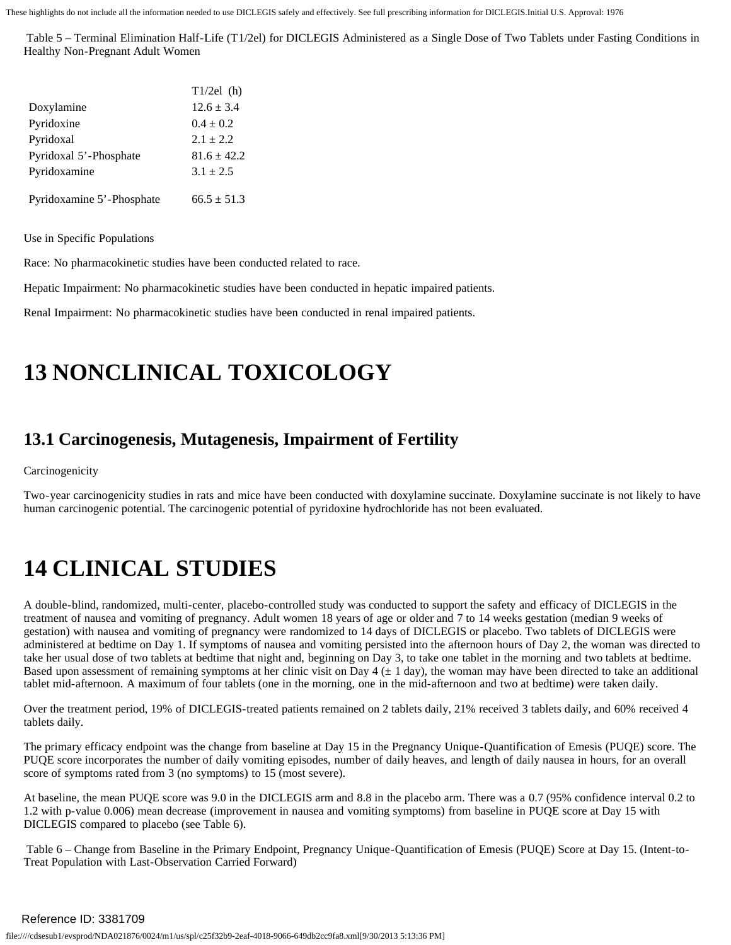Table 5 – Terminal Elimination Half-Life (T 1/2el) for DICLEGIS Administered as a Single Dose of Two Tablets under Fasting Conditions in Healthy Non-Pregnant Adult Women

|                           | $T1/2el$ (h)    |
|---------------------------|-----------------|
| Doxylamine                | $12.6 \pm 3.4$  |
| Pyridoxine                | $0.4 \pm 0.2$   |
| Pyridoxal                 | $2.1 \pm 2.2$   |
| Pyridoxal 5'-Phosphate    | $81.6 \pm 42.2$ |
| Pyridoxamine              | $3.1 \pm 2.5$   |
|                           |                 |
| Pyridoxamine 5'-Phosphate | $66.5 \pm 51.3$ |

Use in Specific Populations

Race: No pharmacokinetic studies have been conducted related to race.

Hepatic Impairment: No pharmacokinetic studies have been conducted in hepatic impaired patients.

<span id="page-9-0"></span>Renal Impairment: No pharmacokinetic studies have been conducted in renal impaired patients.

### **13 NONCLINICAL TOXICOLOGY**

### <span id="page-9-1"></span>**13.1 Carcinogenesis, Mutagenesis, Impairment of Fertility**

Carcinogenicity

Two-year carcinogenicity studies in rats and mice have been conducted with doxylamine succinate. Doxylamine succinate is not likely to have human carcinogenic potential. The carcinogenic potential of pyridoxine hydrochloride has not been evaluated.

## <span id="page-9-2"></span>**14 CLINICAL STUDIES**

A double-blind, randomized, multi-center, placebo-controlled study was conducted to support the safety and efficacy of DICLEGIS in the treatment of nausea and vomiting of pregnancy. Adult women 18 years of age or older and 7 to 14 weeks gestation (median 9 weeks of gestation) with nausea and vomiting of pregnancy were randomized to 14 days of DICLEGIS or placebo. Two tablets of DICLEGIS were administered at bedtime on Day 1. If symptoms of nausea and vomiting persisted into the afternoon hours of Day 2, the woman was directed to take her usual dose of two tablets at bedtime that night and, beginning on Day 3, to take one tablet in the morning and two tablets at bedtime. Based upon assessment of remaining symptoms at her clinic visit on Day  $4 \times 1$  day), the woman may have been directed to take an additional tablet mid-afternoon. A maximum of four tablets (one in the morning, one in the mid-afternoon and two at bedtime) were taken daily.

Over the treatment period, 19% of DICLEGIS-treated patients remained on 2 tablets daily, 21% received 3 tablets daily, and 60% received 4 tablets daily.

The primary efficacy endpoint was the change from baseline at Day 15 in the Pregnancy Unique-Quantification of Emesis (PUQE) score. The PUQE score incorporates the number of daily vomiting episodes, number of daily heaves, and length of daily nausea in hours, for an overall score of symptoms rated from 3 (no symptoms) to 15 (most severe).

At baseline, the mean PUQE score was 9.0 in the DICLEGIS arm and 8.8 in the placebo arm. There was a 0.7 (95% confidence interval 0.2 to 1.2 with p-value 0.006) mean decrease (improvement in nausea and vomiting symptoms) from baseline in PUQE score at Day 15 with DICLEGIS compared to placebo (see Table 6).

Table 6 – Change from Baseline in the Primary Endpoint, Pregnancy Unique-Quantification of Emesis (PUQE) Score at Day 15. (Intent-to-Treat Population with Last-Observation Carried Forward)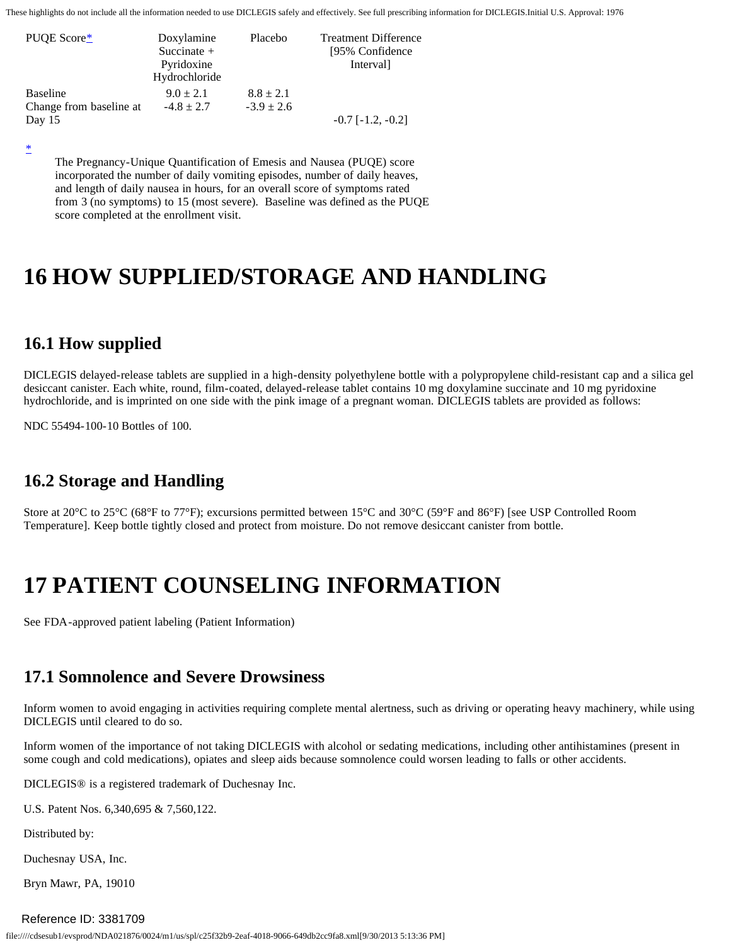<span id="page-10-5"></span>

| PUOE Score*<br>Doxylamine<br>Succinate $+$<br>Pyridoxine<br>Hydrochloride |                | Placebo        | <b>Treatment Difference</b><br>[95% Confidence]<br>Interval] |
|---------------------------------------------------------------------------|----------------|----------------|--------------------------------------------------------------|
| <b>Baseline</b>                                                           | $9.0 \pm 2.1$  | $8.8 \pm 2.1$  |                                                              |
| Change from baseline at                                                   | $-4.8 \pm 2.7$ | $-3.9 \pm 2.6$ |                                                              |
| Day $15$                                                                  |                |                | $-0.7$ [ $-1.2, -0.2$ ]                                      |

<span id="page-10-6"></span>[\\*](#page-10-5) 

The Pregnancy-Unique Quantification of Emesis and Nausea (PUQE) score incorporated the number of daily vomiting episodes, number of daily heaves, and length of daily nausea in hours, for an overall score of symptoms rated from 3 (no symptoms) to 15 (most severe). Baseline was defined as the PUQE score completed at the enrollment visit.

### <span id="page-10-0"></span>**16 HOW SUPPLIED/STORAGE AND HANDLING**

### <span id="page-10-1"></span>**16.1 How supplied**

DICLEGIS delayed-release tablets are supplied in a high-density polyethylene bottle with a polypropylene child-resistant cap and a silica gel desiccant canister. Each white, round, film-coated, delayed-release tablet contains 10 mg doxylamine succinate and 10 mg pyridoxine hydrochloride, and is imprinted on one side with the pink image of a pregnant woman. DICLEGIS tablets are provided as follows:

<span id="page-10-2"></span>NDC 55494-100-10 Bottles of 100.

### **16.2 Storage and Handling**

Store at 20°C to 25°C (68°F to 77°F); excursions permitted between 15°C and 30°C (59°F and 86°F) [see USP Controlled Room Temperature]. Keep bottle tightly closed and protect from moisture. Do not remove desiccant canister from bottle.

## <span id="page-10-3"></span>**17 PATIENT COUNSELING INFORMATION**

<span id="page-10-4"></span>See FDA -approved patient labeling (Patient Information)

### **17.1 Somnolence and Severe Drowsiness**

Inform women to avoid engaging in activities requiring complete mental alertness, such as driving or operating heavy machinery, while using DICLEGIS until cleared to do so.

Inform women of the importance of not taking DICLEGIS with alcohol or sedating medications, including other antihistamines (present in some cough and cold medications), opiates and sleep aids because somnolence could worsen leading to falls or other accidents.

DICLEGIS® is a registered trademark of Duchesnay Inc.

U.S. Patent Nos. 6,340,695 & 7,560,122.

Distributed by:

Duchesnay USA, Inc.

Bryn Mawr, PA, 19010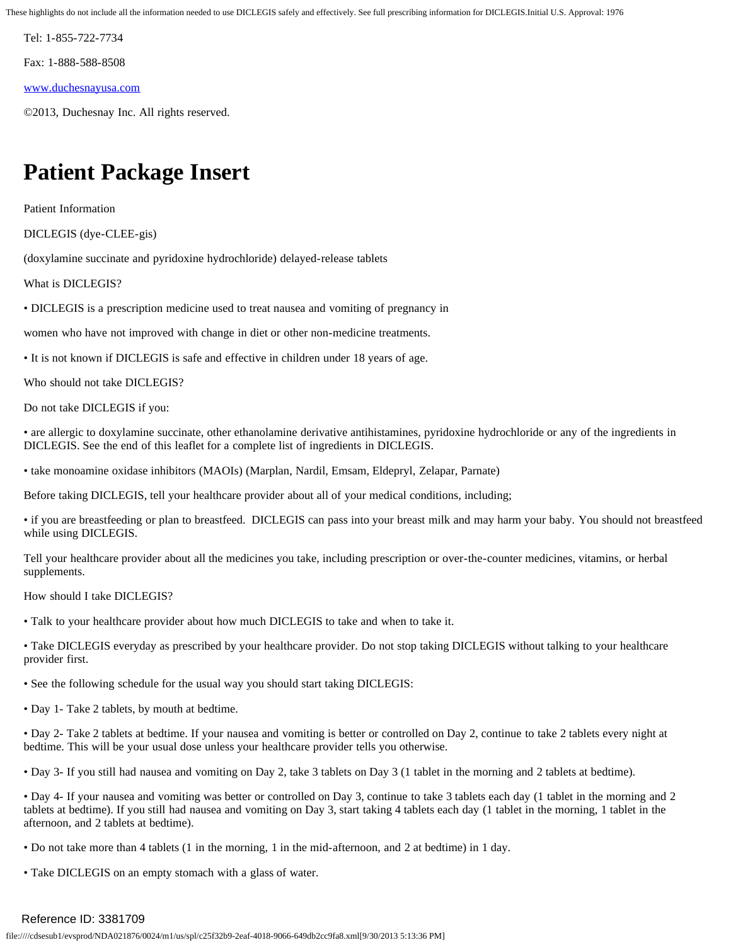Tel: 1-855-722-7734

Fax: 1-888-588-8508

[www.duchesnayusa.com](http://www.duchesnayusa.com/) 

©2013, Duchesnay Inc. All rights reserved.

## **Patient Package Insert**

Patient Information

DICLEGIS (dye-CLEE-gis)

(doxylamine succinate and pyridoxine hydrochloride) delayed-release tablets

What is DICLEGIS?

• DICLEGIS is a prescription medicine used to treat nausea and vomiting of pregnancy in

women who have not improved with change in diet or other non-medicine treatments.

• It is not known if DICLEGIS is safe and effective in children under 18 years of age.

Who should not take DICLEGIS?

Do not take DICLEGIS if you:

• are allergic to doxylamine succinate, other ethanolamine derivative antihistamines, pyridoxine hydrochloride or any of the ingredients in DICLEGIS. See the end of this leaflet for a complete list of ingredients in DICLEGIS.

• take monoamine oxidase inhibitors (MAOIs) (Marplan, Nardil, Emsam, Eldepryl, Zelapar, Parnate)

Before taking DICLEGIS, tell your healthcare provider about all of your medical conditions, including;

 • if you are breastfeeding or plan to breastfeed. DICLEGIS can pass into your breast milk and may harm your baby. You should not breastfeed while using DICLEGIS.

Tell your healthcare provider about all the medicines you take, including prescription or over-the-counter medicines, vitamins, or herbal supplements.

How should I take DICLEGIS?

• Talk to your healthcare provider about how much DICLEGIS to take and when to take it.

• Take DICLEGIS everyday as prescribed by your healthcare provider. Do not stop taking DICLEGIS without talking to your healthcare provider first.

• See the following schedule for the usual way you should start taking DICLEGIS:

• Day 1- Take 2 tablets, by mouth at bedtime.

• Day 2- Take 2 tablets at bedtime. If your nausea and vomiting is better or controlled on Day 2, continue to take 2 tablets every night at bedtime. This will be your usual dose unless your healthcare provider tells you otherwise.

• Day 3- If you still had nausea and vomiting on Day 2, take 3 tablets on Day 3 (1 tablet in the morning and 2 tablets at bedtime).

• Day 4- If your nausea and vomiting was better or controlled on Day 3, continue to take 3 tablets each day (1 tablet in the morning and 2 tablets at bedtime). If you still had nausea and vomiting on Day 3, start taking 4 tablets each day (1 tablet in the morning, 1 tablet in the afternoon, and 2 tablets at bedtime).

• Do not take more than 4 tablets (1 in the morning, 1 in the mid-afternoon, and 2 at bedtime) in 1 day.

• Take DICLEGIS on an empty stomach with a glass of water.

### Reference ID: 3381709